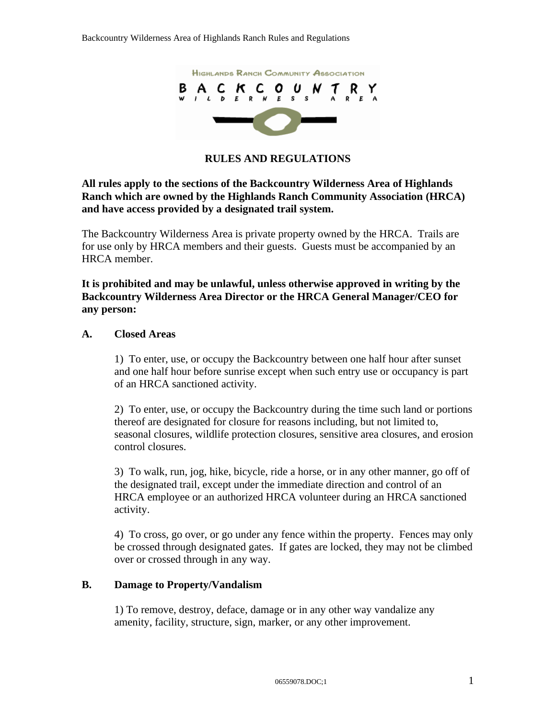

**RULES AND REGULATIONS**

#### **All rules apply to the sections of the Backcountry Wilderness Area of Highlands Ranch which are owned by the Highlands Ranch Community Association (HRCA) and have access provided by a designated trail system.**

The Backcountry Wilderness Area is private property owned by the HRCA. Trails are for use only by HRCA members and their guests. Guests must be accompanied by an HRCA member.

**It is prohibited and may be unlawful, unless otherwise approved in writing by the Backcountry Wilderness Area Director or the HRCA General Manager/CEO for any person:**

#### **A. Closed Areas**

1) To enter, use, or occupy the Backcountry between one half hour after sunset and one half hour before sunrise except when such entry use or occupancy is part of an HRCA sanctioned activity.

2) To enter, use, or occupy the Backcountry during the time such land or portions thereof are designated for closure for reasons including, but not limited to, seasonal closures, wildlife protection closures, sensitive area closures, and erosion control closures.

3) To walk, run, jog, hike, bicycle, ride a horse, or in any other manner, go off of the designated trail, except under the immediate direction and control of an HRCA employee or an authorized HRCA volunteer during an HRCA sanctioned activity.

4) To cross, go over, or go under any fence within the property. Fences may only be crossed through designated gates. If gates are locked, they may not be climbed over or crossed through in any way.

#### **B. Damage to Property/Vandalism**

1) To remove, destroy, deface, damage or in any other way vandalize any amenity, facility, structure, sign, marker, or any other improvement.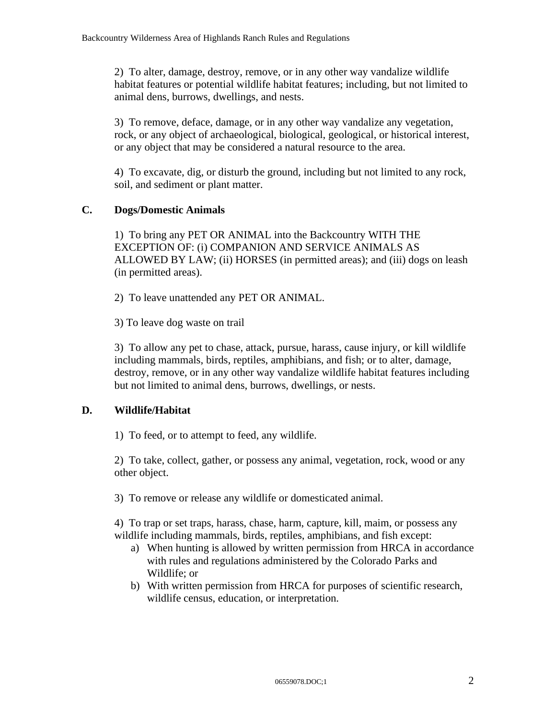2) To alter, damage, destroy, remove, or in any other way vandalize wildlife habitat features or potential wildlife habitat features; including, but not limited to animal dens, burrows, dwellings, and nests.

3) To remove, deface, damage, or in any other way vandalize any vegetation, rock, or any object of archaeological, biological, geological, or historical interest, or any object that may be considered a natural resource to the area.

4) To excavate, dig, or disturb the ground, including but not limited to any rock, soil, and sediment or plant matter.

# **C. Dogs/Domestic Animals**

1) To bring any PET OR ANIMAL into the Backcountry WITH THE EXCEPTION OF: (i) COMPANION AND SERVICE ANIMALS AS ALLOWED BY LAW; (ii) HORSES (in permitted areas); and (iii) dogs on leash (in permitted areas).

2) To leave unattended any PET OR ANIMAL.

3) To leave dog waste on trail

3) To allow any pet to chase, attack, pursue, harass, cause injury, or kill wildlife including mammals, birds, reptiles, amphibians, and fish; or to alter, damage, destroy, remove, or in any other way vandalize wildlife habitat features including but not limited to animal dens, burrows, dwellings, or nests.

### **D. Wildlife/Habitat**

1) To feed, or to attempt to feed, any wildlife.

2) To take, collect, gather, or possess any animal, vegetation, rock, wood or any other object.

3) To remove or release any wildlife or domesticated animal.

4) To trap or set traps, harass, chase, harm, capture, kill, maim, or possess any wildlife including mammals, birds, reptiles, amphibians, and fish except:

- a) When hunting is allowed by written permission from HRCA in accordance with rules and regulations administered by the Colorado Parks and Wildlife; or
- b) With written permission from HRCA for purposes of scientific research, wildlife census, education, or interpretation.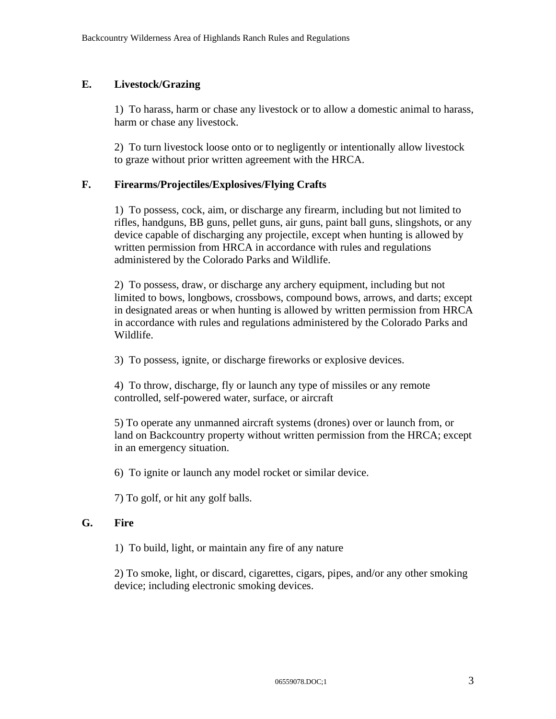#### **E. Livestock/Grazing**

1) To harass, harm or chase any livestock or to allow a domestic animal to harass, harm or chase any livestock.

2) To turn livestock loose onto or to negligently or intentionally allow livestock to graze without prior written agreement with the HRCA.

#### **F. Firearms/Projectiles/Explosives/Flying Crafts**

1) To possess, cock, aim, or discharge any firearm, including but not limited to rifles, handguns, BB guns, pellet guns, air guns, paint ball guns, slingshots, or any device capable of discharging any projectile, except when hunting is allowed by written permission from HRCA in accordance with rules and regulations administered by the Colorado Parks and Wildlife.

2) To possess, draw, or discharge any archery equipment, including but not limited to bows, longbows, crossbows, compound bows, arrows, and darts; except in designated areas or when hunting is allowed by written permission from HRCA in accordance with rules and regulations administered by the Colorado Parks and Wildlife.

3) To possess, ignite, or discharge fireworks or explosive devices.

4) To throw, discharge, fly or launch any type of missiles or any remote controlled, self-powered water, surface, or aircraft

5) To operate any unmanned aircraft systems (drones) over or launch from, or land on Backcountry property without written permission from the HRCA; except in an emergency situation.

6) To ignite or launch any model rocket or similar device.

7) To golf, or hit any golf balls.

#### **G. Fire**

1) To build, light, or maintain any fire of any nature

2) To smoke, light, or discard, cigarettes, cigars, pipes, and/or any other smoking device; including electronic smoking devices.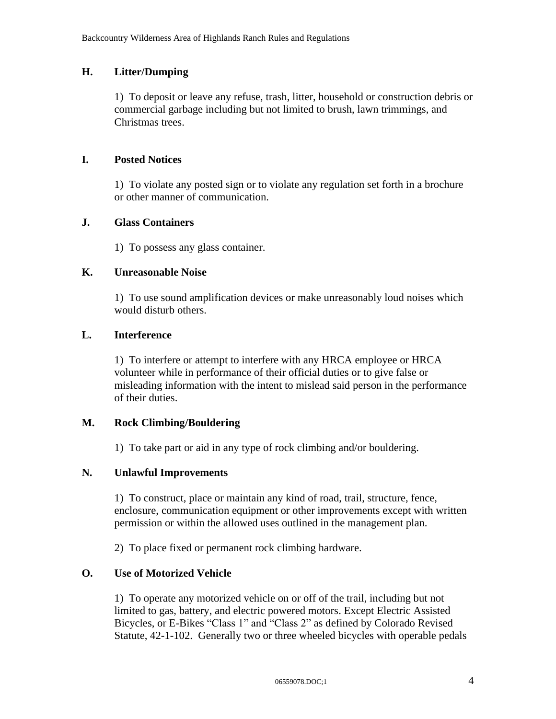### **H. Litter/Dumping**

1) To deposit or leave any refuse, trash, litter, household or construction debris or commercial garbage including but not limited to brush, lawn trimmings, and Christmas trees.

### **I. Posted Notices**

1) To violate any posted sign or to violate any regulation set forth in a brochure or other manner of communication.

### **J. Glass Containers**

1) To possess any glass container.

### **K. Unreasonable Noise**

1) To use sound amplification devices or make unreasonably loud noises which would disturb others.

# **L. Interference**

1) To interfere or attempt to interfere with any HRCA employee or HRCA volunteer while in performance of their official duties or to give false or misleading information with the intent to mislead said person in the performance of their duties.

# **M. Rock Climbing/Bouldering**

1) To take part or aid in any type of rock climbing and/or bouldering.

### **N. Unlawful Improvements**

1) To construct, place or maintain any kind of road, trail, structure, fence, enclosure, communication equipment or other improvements except with written permission or within the allowed uses outlined in the management plan.

2) To place fixed or permanent rock climbing hardware.

# **O. Use of Motorized Vehicle**

1) To operate any motorized vehicle on or off of the trail, including but not limited to gas, battery, and electric powered motors. Except Electric Assisted Bicycles, or E-Bikes "Class 1" and "Class 2" as defined by Colorado Revised Statute, 42-1-102. Generally two or three wheeled bicycles with operable pedals